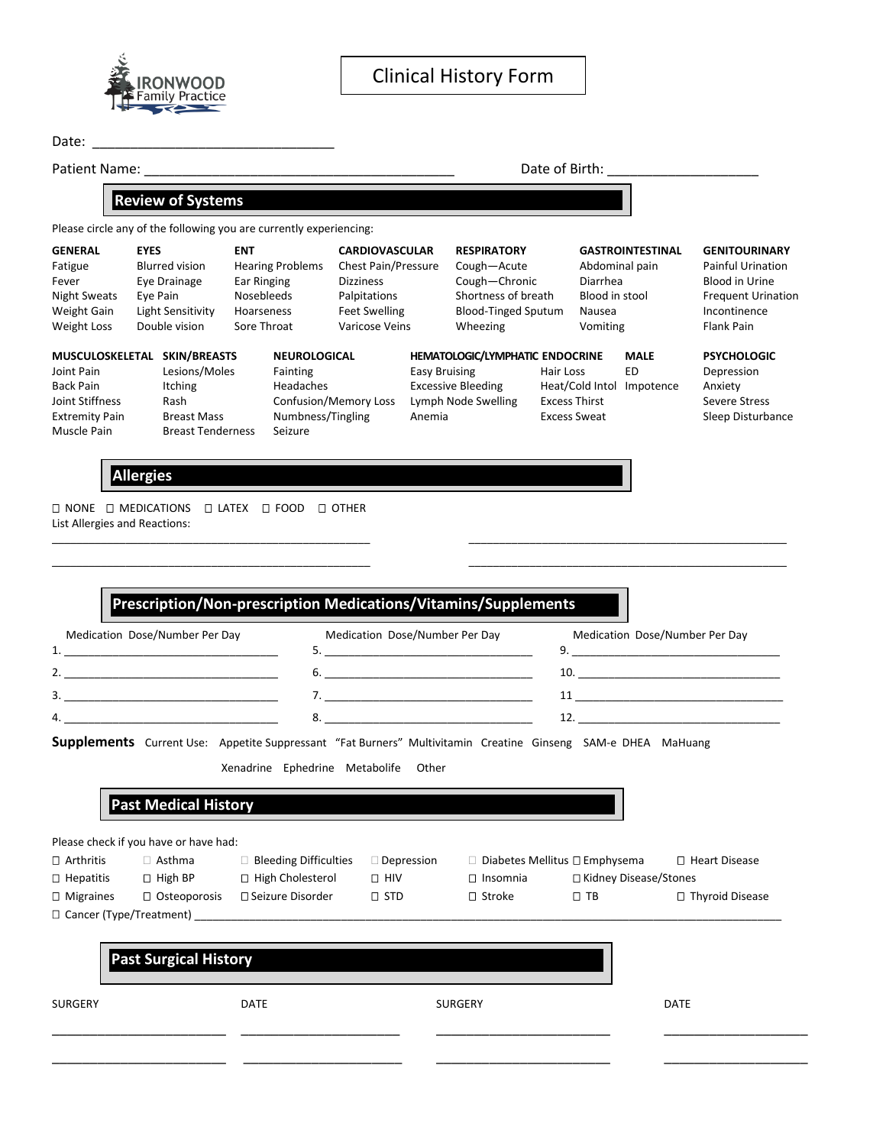

| Date: |  |
|-------|--|
|       |  |

Patient Name:  $\Box$  Date of Birth:  $\Box$ Please circle any of the following you are currently experiencing: **GENERAL EYES ENT CARDIOVASCULAR RESPIRATORY GASTROINTESTINAL GENITOURINARY** Fatigue Blurred vision Hearing Problems Chest Pain/Pressure Cough—Acute Abdominal pain Painful Urination Fever Eye Drainage Ear Ringing Dizziness Cough—Chronic Diarrhea Blood in Urine Night Sweats Eye Pain Mosebleeds Palpitations Shortness of breath Blood in stool Frequent Urination<br>
1990 Weight Gain Light Sensitivity Hoarseness Feet Swelling Blood-Tinged Sputum Nausea (Incontinence Weight Gain Light Sensitivity Hoarseness Feet Swelling Blood-Tinged Sputum Nausea and Incontinen<br>Wheezing Vomiting Flank Pain Neight Loss Double vision Sore Throat Varicose Veins Wheezing Vomiting Weight Loss Double vision Sore Throat Varicose Veins Wheezing Vomiting Vomiting Flank Pain **MUSCULOSKELETAL SKIN/BREASTS NEUROLOGICAL HEMATOLOGIC/LYMPHATIC ENDOCRINE MALE PSYCHOLOGIC** Joint Pain Lesions/Moles Fainting Easy Bruising Hair Loss ED Depression Back Pain Itching Headaches Excessive Bleeding Heat/Cold Intol Impotence Anxiety Joint Stiffness Rash Confusion/Memory Loss Lymph Node Swelling Excess Thirst Severe Stress Extremity Pain Breast Mass Numbness/Tingling Anemia Breass Sweat Sleep Disturbance Muscle Pain Breast Tenderness Seizure **Review of Systems**

## **Allergies**

 $\square$  NONE  $\square$  MEDICATIONS  $\square$  LATEX  $\square$  FOOD  $\square$  OTHER List Allergies and Reactions:

|                                 | Medication Dose/Number Per Day        |                                                                                                              | Medication Dose/Number Per Day |                                 |                         | Medication Dose/Number Per Day |
|---------------------------------|---------------------------------------|--------------------------------------------------------------------------------------------------------------|--------------------------------|---------------------------------|-------------------------|--------------------------------|
|                                 | 2.                                    |                                                                                                              |                                |                                 |                         |                                |
|                                 |                                       |                                                                                                              |                                |                                 |                         |                                |
|                                 |                                       |                                                                                                              |                                |                                 |                         |                                |
|                                 | 4.                                    |                                                                                                              |                                |                                 |                         |                                |
|                                 |                                       | Supplements Current Use: Appetite Suppressant "Fat Burners" Multivitamin Creatine Ginseng SAM-e DHEA MaHuang |                                |                                 |                         |                                |
|                                 | <b>Past Medical History</b>           | Xenadrine Ephedrine Metabolife Other                                                                         |                                |                                 |                         |                                |
|                                 | Please check if you have or have had: |                                                                                                              |                                |                                 |                         |                                |
|                                 | $\Box$ Asthma                         | $\Box$ Bleeding Difficulties $\Box$ Depression                                                               |                                | □ Diabetes Mellitus □ Emphysema |                         | □ Heart Disease                |
|                                 |                                       | □ Hepatitis □ High BP □ High Cholesterol                                                                     | $\Box$ HIV                     | $\Box$ Insomnia                 | □ Kidney Disease/Stones |                                |
|                                 |                                       | $\Box$ Osteoporosis $\Box$ Seizure Disorder                                                                  | $\square$ STD                  | $\square$ Stroke                | $\Box$ TB               | □ Thyroid Disease              |
| $\Box$ Arthritis<br>□ Migraines |                                       | $\Box$ Cancer (Type/Treatment)                                                                               |                                |                                 |                         |                                |
|                                 |                                       |                                                                                                              |                                |                                 |                         |                                |
|                                 | <b>Past Surgical History</b>          |                                                                                                              |                                |                                 |                         |                                |
|                                 |                                       |                                                                                                              |                                |                                 |                         |                                |
| <b>SURGERY</b>                  |                                       | <b>DATE</b>                                                                                                  |                                | <b>SURGERY</b>                  |                         | <b>DATE</b>                    |

\_\_\_\_\_\_\_\_\_\_\_\_\_\_\_\_\_\_\_\_\_\_\_\_\_\_\_\_\_\_\_\_\_\_\_\_\_\_\_\_\_\_\_\_\_\_\_\_\_\_\_\_ \_\_\_\_\_\_\_\_\_\_\_\_\_\_\_\_\_\_\_\_\_\_\_\_\_\_\_\_\_\_\_\_\_\_\_\_\_\_\_\_\_\_\_\_\_\_\_\_\_\_\_\_